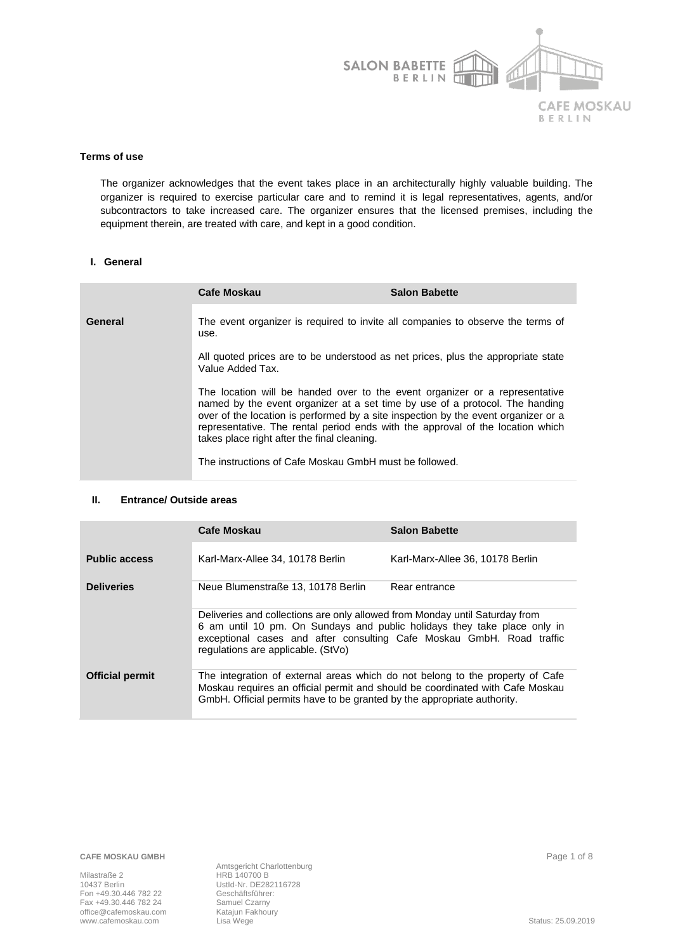

#### **Terms of use**

The organizer acknowledges that the event takes place in an architecturally highly valuable building. The organizer is required to exercise particular care and to remind it is legal representatives, agents, and/or subcontractors to take increased care. The organizer ensures that the licensed premises, including the equipment therein, are treated with care, and kept in a good condition.

### **I. General**

|         | Cafe Moskau                                                                                                                                                                                                                                                                                                                                                                        | <b>Salon Babette</b> |
|---------|------------------------------------------------------------------------------------------------------------------------------------------------------------------------------------------------------------------------------------------------------------------------------------------------------------------------------------------------------------------------------------|----------------------|
| General | The event organizer is required to invite all companies to observe the terms of<br>use.                                                                                                                                                                                                                                                                                            |                      |
|         | All quoted prices are to be understood as net prices, plus the appropriate state<br>Value Added Tax.                                                                                                                                                                                                                                                                               |                      |
|         | The location will be handed over to the event organizer or a representative<br>named by the event organizer at a set time by use of a protocol. The handing<br>over of the location is performed by a site inspection by the event organizer or a<br>representative. The rental period ends with the approval of the location which<br>takes place right after the final cleaning. |                      |
|         | The instructions of Cafe Moskau GmbH must be followed.                                                                                                                                                                                                                                                                                                                             |                      |

#### **II. Entrance/ Outside areas**

|                        | <b>Cafe Moskau</b>                                                                                                                                                                                                                                                     | <b>Salon Babette</b>             |
|------------------------|------------------------------------------------------------------------------------------------------------------------------------------------------------------------------------------------------------------------------------------------------------------------|----------------------------------|
| <b>Public access</b>   | Karl-Marx-Allee 34, 10178 Berlin                                                                                                                                                                                                                                       | Karl-Marx-Allee 36, 10178 Berlin |
| <b>Deliveries</b>      | Neue Blumenstraße 13, 10178 Berlin                                                                                                                                                                                                                                     | Rear entrance                    |
|                        | Deliveries and collections are only allowed from Monday until Saturday from<br>6 am until 10 pm. On Sundays and public holidays they take place only in<br>exceptional cases and after consulting Cafe Moskau GmbH. Road traffic<br>regulations are applicable. (StVo) |                                  |
| <b>Official permit</b> | The integration of external areas which do not belong to the property of Cafe<br>Moskau requires an official permit and should be coordinated with Cafe Moskau<br>GmbH. Official permits have to be granted by the appropriate authority.                              |                                  |

**CAFE MOSKAU GMBH** Page 1 of 8

Milastraße 2 HRB 140700 B Fon +49.30.446 782 22 Geschäftsführer: Fax +49.30.446 782 24 Samuel Czarny office@cafemoskau.com Katajun Fakhoury<br>www.cafemoskau.com Lisa Wege

Amtsgericht Charlottenburg UstId-Nr. DE282116728 www.cafemoskau.com in the called the computation of the called the computation of the called the called the computation of the called the computation of the computation of the computation of the computation of the computat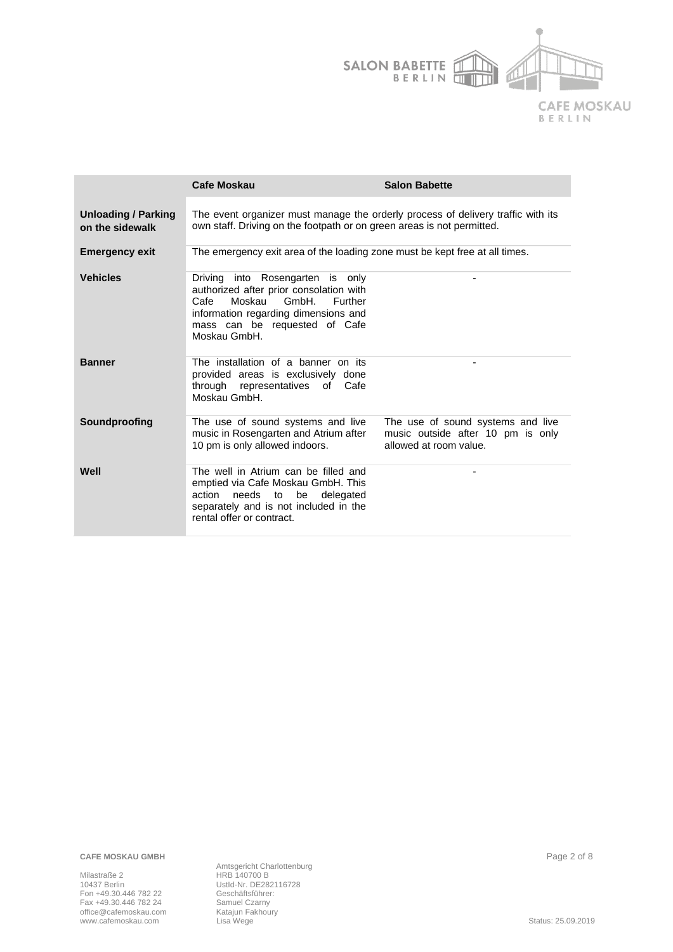

|                                               | <b>Cafe Moskau</b>                                                                                                                                                                                         | <b>Salon Babette</b>                                                                             |
|-----------------------------------------------|------------------------------------------------------------------------------------------------------------------------------------------------------------------------------------------------------------|--------------------------------------------------------------------------------------------------|
| <b>Unloading / Parking</b><br>on the sidewalk | The event organizer must manage the orderly process of delivery traffic with its<br>own staff. Driving on the footpath or on green areas is not permitted.                                                 |                                                                                                  |
| <b>Emergency exit</b>                         | The emergency exit area of the loading zone must be kept free at all times.                                                                                                                                |                                                                                                  |
| <b>Vehicles</b>                               | Driving into Rosengarten is only<br>authorized after prior consolation with<br>Moskau<br>GmbH.<br>Cafe<br>Further<br>information regarding dimensions and<br>mass can be requested of Cafe<br>Moskau GmbH. |                                                                                                  |
| <b>Banner</b>                                 | The installation of a banner on its<br>provided areas is exclusively done<br>through representatives of Cafe<br>Moskau GmbH.                                                                               |                                                                                                  |
| Soundproofing                                 | The use of sound systems and live<br>music in Rosengarten and Atrium after<br>10 pm is only allowed indoors.                                                                                               | The use of sound systems and live<br>music outside after 10 pm is only<br>allowed at room value. |
| Well                                          | The well in Atrium can be filled and<br>emptied via Cafe Moskau GmbH. This<br>action<br>needs<br>to<br>be<br>delegated<br>separately and is not included in the<br>rental offer or contract.               |                                                                                                  |

**CAFE MOSKAU GMBH** Page 2 of 8

Milastraße 2 **HRB 140700 B** 10437 Berlin UstId-Nr. DE282116728 Fon +49.30.446 782 22 Geschäftsführer: Fax +49.30.446 782 24 Samuel Czarny office@cafemoskau.com Katajun Fakhoury www.cafemoskau.com Lisa Wege Status: 25.09.2019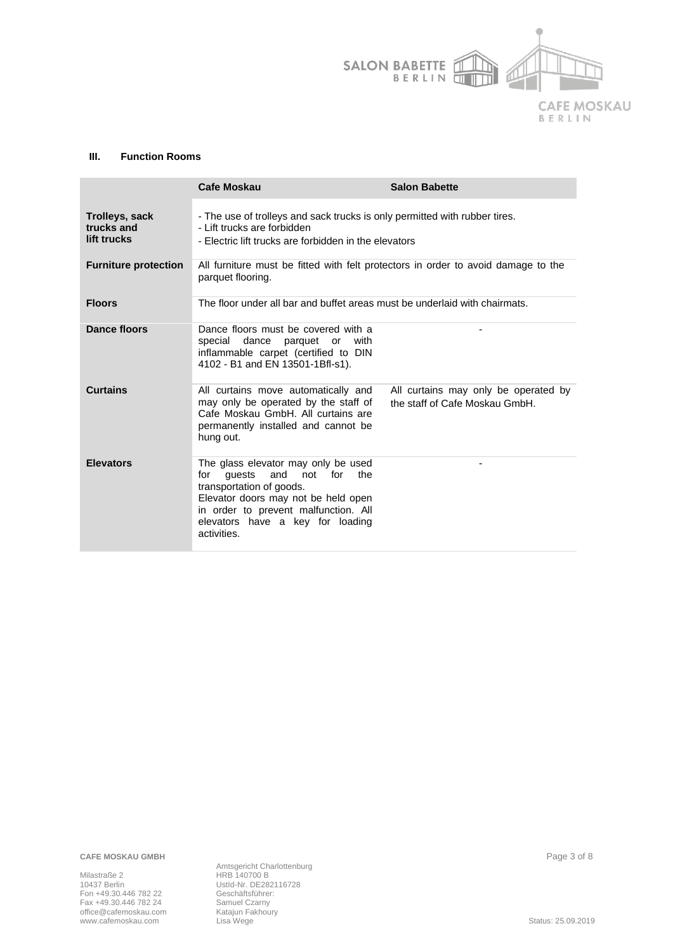

#### **III. Function Rooms**

|                                             | Cafe Moskau                                                                                                                                                                                                                                    | <b>Salon Babette</b>                                                   |
|---------------------------------------------|------------------------------------------------------------------------------------------------------------------------------------------------------------------------------------------------------------------------------------------------|------------------------------------------------------------------------|
| Trolleys, sack<br>trucks and<br>lift trucks | - The use of trolleys and sack trucks is only permitted with rubber tires.<br>- Lift trucks are forbidden<br>- Electric lift trucks are forbidden in the elevators                                                                             |                                                                        |
| <b>Furniture protection</b>                 | All furniture must be fitted with felt protectors in order to avoid damage to the<br>parquet flooring.                                                                                                                                         |                                                                        |
| <b>Floors</b>                               | The floor under all bar and buffet areas must be underlaid with chairmats.                                                                                                                                                                     |                                                                        |
| Dance floors                                | Dance floors must be covered with a<br>special dance parquet or with<br>inflammable carpet (certified to DIN<br>4102 - B1 and EN 13501-1Bfl-s1).                                                                                               |                                                                        |
| <b>Curtains</b>                             | All curtains move automatically and<br>may only be operated by the staff of<br>Cafe Moskau GmbH. All curtains are<br>permanently installed and cannot be<br>hung out.                                                                          | All curtains may only be operated by<br>the staff of Cafe Moskau GmbH. |
| <b>Elevators</b>                            | The glass elevator may only be used<br>and<br>not<br>the<br>for<br>quests<br>for<br>transportation of goods.<br>Elevator doors may not be held open<br>in order to prevent malfunction. All<br>elevators have a key for loading<br>activities. |                                                                        |

**CAFE MOSKAU GMBH** Page 3 of 8

Milastraße 2 **HRB 140700 B** 10437 Berlin UstId-Nr. DE282116728 Fon +49.30.446 782 22 Geschäftsführer: Fax +49.30.446 782 24 Samuel Czarny office@cafemoskau.com Katajun Fakhoury www.cafemoskau.com Lisa Wege Status: 25.09.2019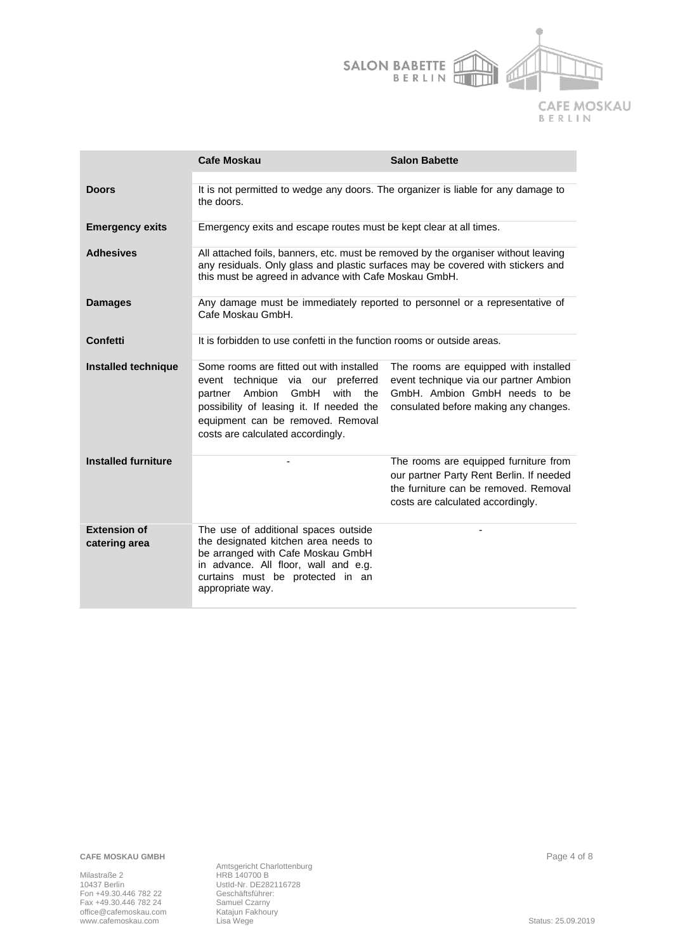

|                                      | <b>Cafe Moskau</b>                                                                                                                                                                                                                              | <b>Salon Babette</b>                                                                                                                                            |
|--------------------------------------|-------------------------------------------------------------------------------------------------------------------------------------------------------------------------------------------------------------------------------------------------|-----------------------------------------------------------------------------------------------------------------------------------------------------------------|
| <b>Doors</b>                         | It is not permitted to wedge any doors. The organizer is liable for any damage to<br>the doors.                                                                                                                                                 |                                                                                                                                                                 |
| <b>Emergency exits</b>               | Emergency exits and escape routes must be kept clear at all times.                                                                                                                                                                              |                                                                                                                                                                 |
| <b>Adhesives</b>                     | All attached foils, banners, etc. must be removed by the organiser without leaving<br>any residuals. Only glass and plastic surfaces may be covered with stickers and<br>this must be agreed in advance with Cafe Moskau GmbH.                  |                                                                                                                                                                 |
| <b>Damages</b>                       | Any damage must be immediately reported to personnel or a representative of<br>Cafe Moskau GmbH.                                                                                                                                                |                                                                                                                                                                 |
| Confetti                             | It is forbidden to use confetti in the function rooms or outside areas.                                                                                                                                                                         |                                                                                                                                                                 |
| Installed technique                  | Some rooms are fitted out with installed<br>event technique via our preferred<br>Ambion<br>GmbH<br>with<br>the<br>partner<br>possibility of leasing it. If needed the<br>equipment can be removed. Removal<br>costs are calculated accordingly. | The rooms are equipped with installed<br>event technique via our partner Ambion<br>GmbH. Ambion GmbH needs to be<br>consulated before making any changes.       |
| <b>Installed furniture</b>           |                                                                                                                                                                                                                                                 | The rooms are equipped furniture from<br>our partner Party Rent Berlin. If needed<br>the furniture can be removed. Removal<br>costs are calculated accordingly. |
| <b>Extension of</b><br>catering area | The use of additional spaces outside<br>the designated kitchen area needs to<br>be arranged with Cafe Moskau GmbH<br>in advance. All floor, wall and e.g.<br>curtains must be protected in an<br>appropriate way.                               |                                                                                                                                                                 |

**CAFE MOSKAU GMBH** Page 4 of 8

Milastraße 2 **HRB 140700 B** 10437 Berlin UstId-Nr. DE282116728 Fon +49.30.446 782 22 Geschäftsführer: Fax +49.30.446 782 24 Samuel Czarny office@cafemoskau.com Katajun Fakhoury www.cafemoskau.com Lisa Wege Status: 25.09.2019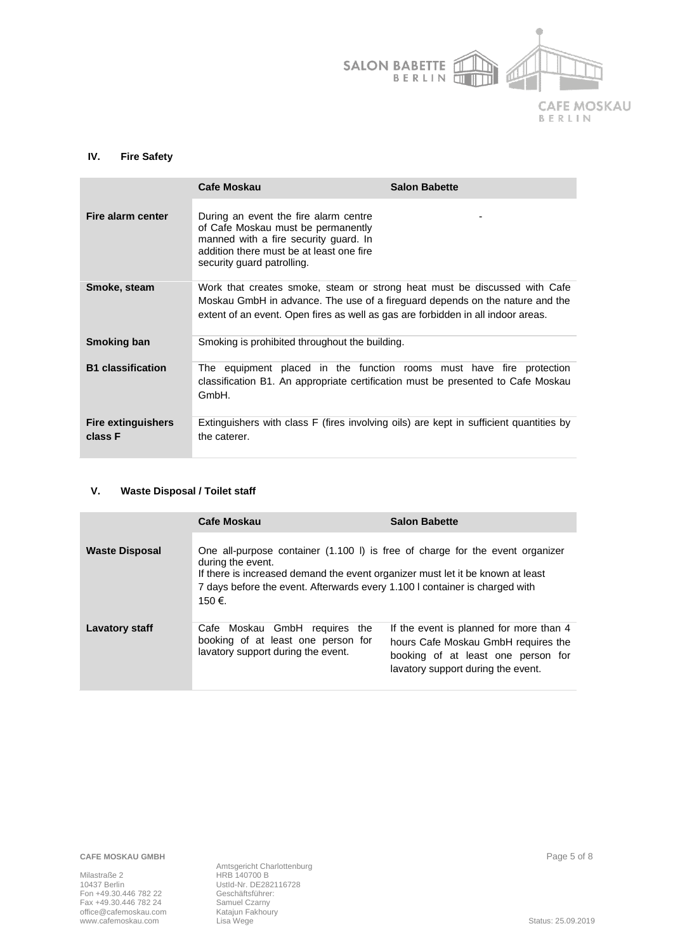

# **IV. Fire Safety**

|                                      | Cafe Moskau                                                                                                                                                                                                                                   | <b>Salon Babette</b> |
|--------------------------------------|-----------------------------------------------------------------------------------------------------------------------------------------------------------------------------------------------------------------------------------------------|----------------------|
| Fire alarm center                    | During an event the fire alarm centre<br>of Cafe Moskau must be permanently<br>manned with a fire security guard. In<br>addition there must be at least one fire<br>security guard patrolling.                                                |                      |
| Smoke, steam                         | Work that creates smoke, steam or strong heat must be discussed with Cafe<br>Moskau GmbH in advance. The use of a fireguard depends on the nature and the<br>extent of an event. Open fires as well as gas are forbidden in all indoor areas. |                      |
| <b>Smoking ban</b>                   | Smoking is prohibited throughout the building.                                                                                                                                                                                                |                      |
| <b>B1</b> classification             | The equipment placed in the function rooms must have fire protection<br>classification B1. An appropriate certification must be presented to Cafe Moskau<br>GmbH.                                                                             |                      |
| <b>Fire extinguishers</b><br>class F | Extinguishers with class F (fires involving oils) are kept in sufficient quantities by<br>the caterer.                                                                                                                                        |                      |

#### **V. Waste Disposal / Toilet staff**

|                       | <b>Cafe Moskau</b>                                                                                                                                                                                                                                                            | <b>Salon Babette</b>                                                                                                                                       |
|-----------------------|-------------------------------------------------------------------------------------------------------------------------------------------------------------------------------------------------------------------------------------------------------------------------------|------------------------------------------------------------------------------------------------------------------------------------------------------------|
| <b>Waste Disposal</b> | One all-purpose container (1.100 l) is free of charge for the event organizer<br>during the event.<br>If there is increased demand the event organizer must let it be known at least<br>7 days before the event. Afterwards every 1.100 I container is charged with<br>150 €. |                                                                                                                                                            |
| <b>Lavatory staff</b> | Cafe Moskau GmbH requires the<br>booking of at least one person for<br>lavatory support during the event.                                                                                                                                                                     | If the event is planned for more than 4<br>hours Cafe Moskau GmbH requires the<br>booking of at least one person for<br>lavatory support during the event. |

Amtsgericht Charlottenburg<br>HRB 140700 B<br>Ustld-Nr. DE282116728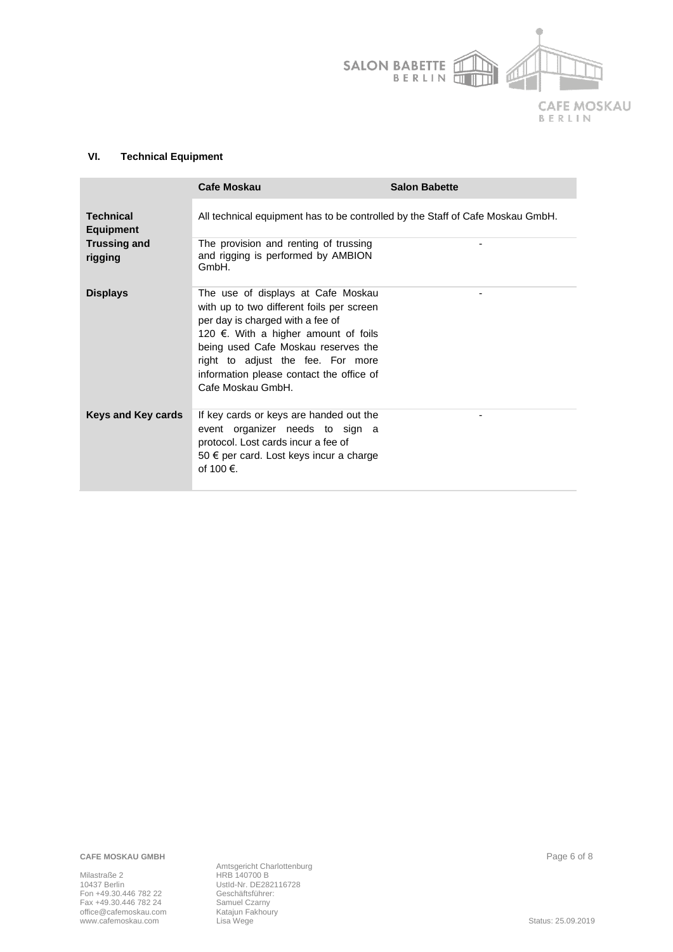

# **VI. Technical Equipment**

|                                      | <b>Cafe Moskau</b>                                                                                                                                                                                                                                                                                       | <b>Salon Babette</b> |
|--------------------------------------|----------------------------------------------------------------------------------------------------------------------------------------------------------------------------------------------------------------------------------------------------------------------------------------------------------|----------------------|
| <b>Technical</b><br><b>Equipment</b> | All technical equipment has to be controlled by the Staff of Cafe Moskau GmbH.                                                                                                                                                                                                                           |                      |
| <b>Trussing and</b><br>rigging       | The provision and renting of trussing<br>and rigging is performed by AMBION<br>GmbH.                                                                                                                                                                                                                     |                      |
| <b>Displays</b>                      | The use of displays at Cafe Moskau<br>with up to two different foils per screen<br>per day is charged with a fee of<br>120 €. With a higher amount of foils<br>being used Cafe Moskau reserves the<br>right to adjust the fee. For more<br>information please contact the office of<br>Cafe Moskau GmbH. |                      |
| Keys and Key cards                   | If key cards or keys are handed out the<br>event organizer needs to sign a<br>protocol. Lost cards incur a fee of<br>50 € per card. Lost keys incur a charge<br>of 100 €.                                                                                                                                |                      |

**CAFE MOSKAU GMBH** Page 6 of 8

Milastraße 2 **HRB 140700 B** 10437 Berlin UstId-Nr. DE282116728 Fon +49.30.446 782 22 Geschäftsführer: Fax +49.30.446 782 24 Samuel Czarny office@cafemoskau.com Katajun Fakhoury www.cafemoskau.com Lisa Wege Status: 25.09.2019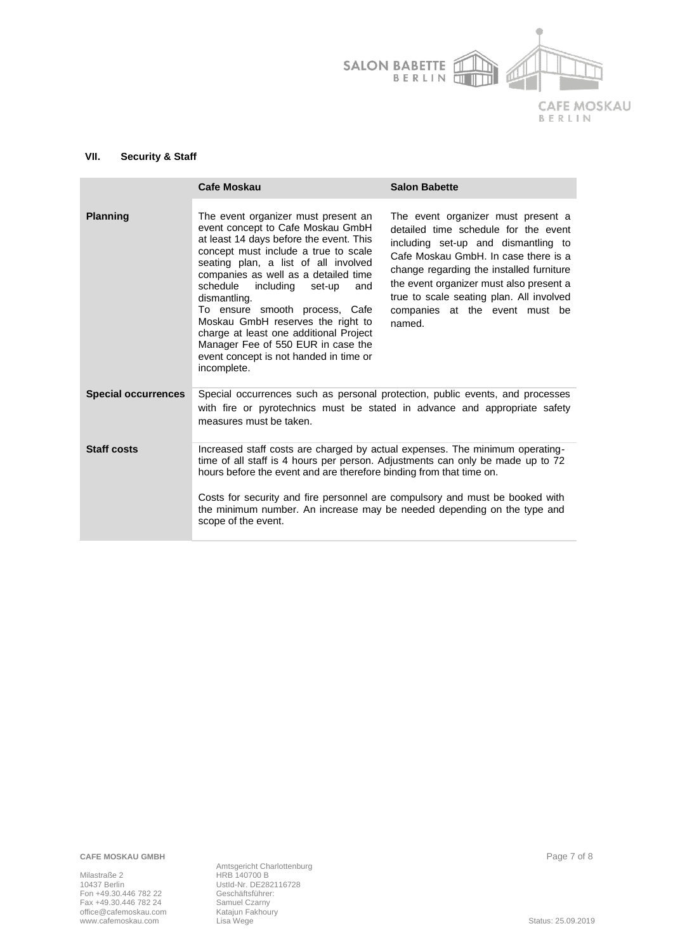

# **VII. Security & Staff**

|                            | Cafe Moskau                                                                                                                                                                                                                                                                                                                                                                                                                                                                                                        | <b>Salon Babette</b>                                                                                                                                                                                                                                                                                                                     |
|----------------------------|--------------------------------------------------------------------------------------------------------------------------------------------------------------------------------------------------------------------------------------------------------------------------------------------------------------------------------------------------------------------------------------------------------------------------------------------------------------------------------------------------------------------|------------------------------------------------------------------------------------------------------------------------------------------------------------------------------------------------------------------------------------------------------------------------------------------------------------------------------------------|
| <b>Planning</b>            | The event organizer must present an<br>event concept to Cafe Moskau GmbH<br>at least 14 days before the event. This<br>concept must include a true to scale<br>seating plan, a list of all involved<br>companies as well as a detailed time<br>schedule<br>including set-up<br>and<br>dismantling.<br>To ensure smooth process, Cafe<br>Moskau GmbH reserves the right to<br>charge at least one additional Project<br>Manager Fee of 550 EUR in case the<br>event concept is not handed in time or<br>incomplete. | The event organizer must present a<br>detailed time schedule for the event<br>including set-up and dismantling to<br>Cafe Moskau GmbH. In case there is a<br>change regarding the installed furniture<br>the event organizer must also present a<br>true to scale seating plan. All involved<br>companies at the event must be<br>named. |
| <b>Special occurrences</b> | Special occurrences such as personal protection, public events, and processes<br>with fire or pyrotechnics must be stated in advance and appropriate safety<br>measures must be taken.                                                                                                                                                                                                                                                                                                                             |                                                                                                                                                                                                                                                                                                                                          |
| <b>Staff costs</b>         | Increased staff costs are charged by actual expenses. The minimum operating-<br>time of all staff is 4 hours per person. Adjustments can only be made up to 72<br>hours before the event and are therefore binding from that time on.<br>Costs for security and fire personnel are compulsory and must be booked with<br>the minimum number. An increase may be needed depending on the type and                                                                                                                   |                                                                                                                                                                                                                                                                                                                                          |
|                            | scope of the event.                                                                                                                                                                                                                                                                                                                                                                                                                                                                                                |                                                                                                                                                                                                                                                                                                                                          |

**CAFE MOSKAU GMBH** Page 7 of 8

Milastraße 2 **HRB 140700 B** 10437 Berlin UstId-Nr. DE282116728 Fon +49.30.446 782 22 Geschäftsführer: Fax +49.30.446 782 24 Samuel Czarny office@cafemoskau.com Katajun Fakhoury www.cafemoskau.com Lisa Wege Status: 25.09.2019